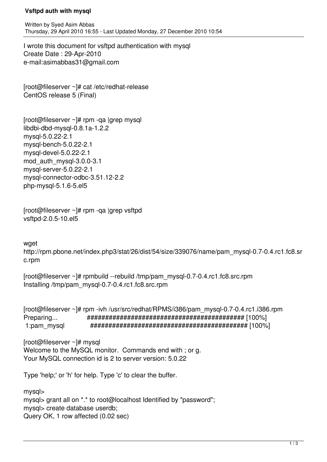## **Vsftpd auth with mysql**

Written by Syed Asim Abbas Thursday, 29 April 2010 16:55 - Last Updated Monday, 27 December 2010 10:54

I wrote this document for vsftpd authentication with mysql Create Date : 29-Apr-2010 e-mail:asimabbas31@gmail.com

[root@fileserver ~]# cat /etc/redhat-release CentOS release 5 (Final)

[root@fileserver ~]# rpm -qa |grep mysql libdbi-dbd-mysql-0.8.1a-1.2.2 mysql-5.0.22-2.1 mysql-bench-5.0.22-2.1 mysql-devel-5.0.22-2.1 mod\_auth\_mysql-3.0.0-3.1 mysql-server-5.0.22-2.1 mysql-connector-odbc-3.51.12-2.2 php-mysql-5.1.6-5.el5

[root@fileserver ~]# rpm -qa |grep vsftpd vsftpd-2.0.5-10.el5

waet

http://rpm.pbone.net/index.php3/stat/26/dist/54/size/339076/name/pam\_mysql-0.7-0.4.rc1.fc8.sr c.rpm

[root@fileserver ~]# rpmbuild --rebuild /tmp/pam\_mysql-0.7-0.4.rc1.fc8.src.rpm Installing /tmp/pam\_mysql-0.7-0.4.rc1.fc8.src.rpm

[root@fileserver ~]# rpm -ivh /usr/src/redhat/RPMS/i386/pam\_mysql-0.7-0.4.rc1.i386.rpm Preparing... ########################################### [100%] 1:pam\_mysql ########################################### [100%]

[root@fileserver ~]# mysql Welcome to the MySQL monitor. Commands end with ; or g. Your MySQL connection id is 2 to server version: 5.0.22

Type 'help;' or 'h' for help. Type 'c' to clear the buffer.

mysql> mysql> grant all on \*.\* to root@localhost Identified by "password"; mysql> create database userdb; Query OK, 1 row affected (0.02 sec)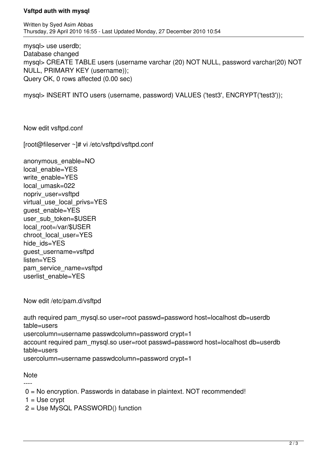## **Vsftpd auth with mysql**

mysql> use userdb; Database changed mysql> CREATE TABLE users (username varchar (20) NOT NULL, password varchar(20) NOT NULL, PRIMARY KEY (username)); Query OK, 0 rows affected (0.00 sec)

mysql> INSERT INTO users (username, password) VALUES ('test3', ENCRYPT('test3'));

Now edit vsftpd.conf

[root@fileserver ~]# vi /etc/vsftpd/vsftpd.conf

anonymous\_enable=NO local enable=YES write\_enable=YES local umask=022 nopriv\_user=vsftpd virtual use local privs=YES guest\_enable=YES user\_sub\_token=\$USER local\_root=/var/\$USER chroot\_local\_user=YES hide\_ids=YES guest\_username=vsftpd listen=YES pam\_service\_name=vsftpd userlist\_enable=YES

Now edit /etc/pam.d/vsftpd

```
auth required pam_mysql.so user=root passwd=password host=localhost db=userdb
table=users 
usercolumn=username passwdcolumn=password crypt=1
account required pam_mysql.so user=root passwd=password host=localhost db=userdb
table=users 
usercolumn=username passwdcolumn=password crypt=1
```
**Note** ----

0 = No encryption. Passwords in database in plaintext. NOT recommended!

 $1 =$  Use crypt

2 = Use MySQL PASSWORD() function